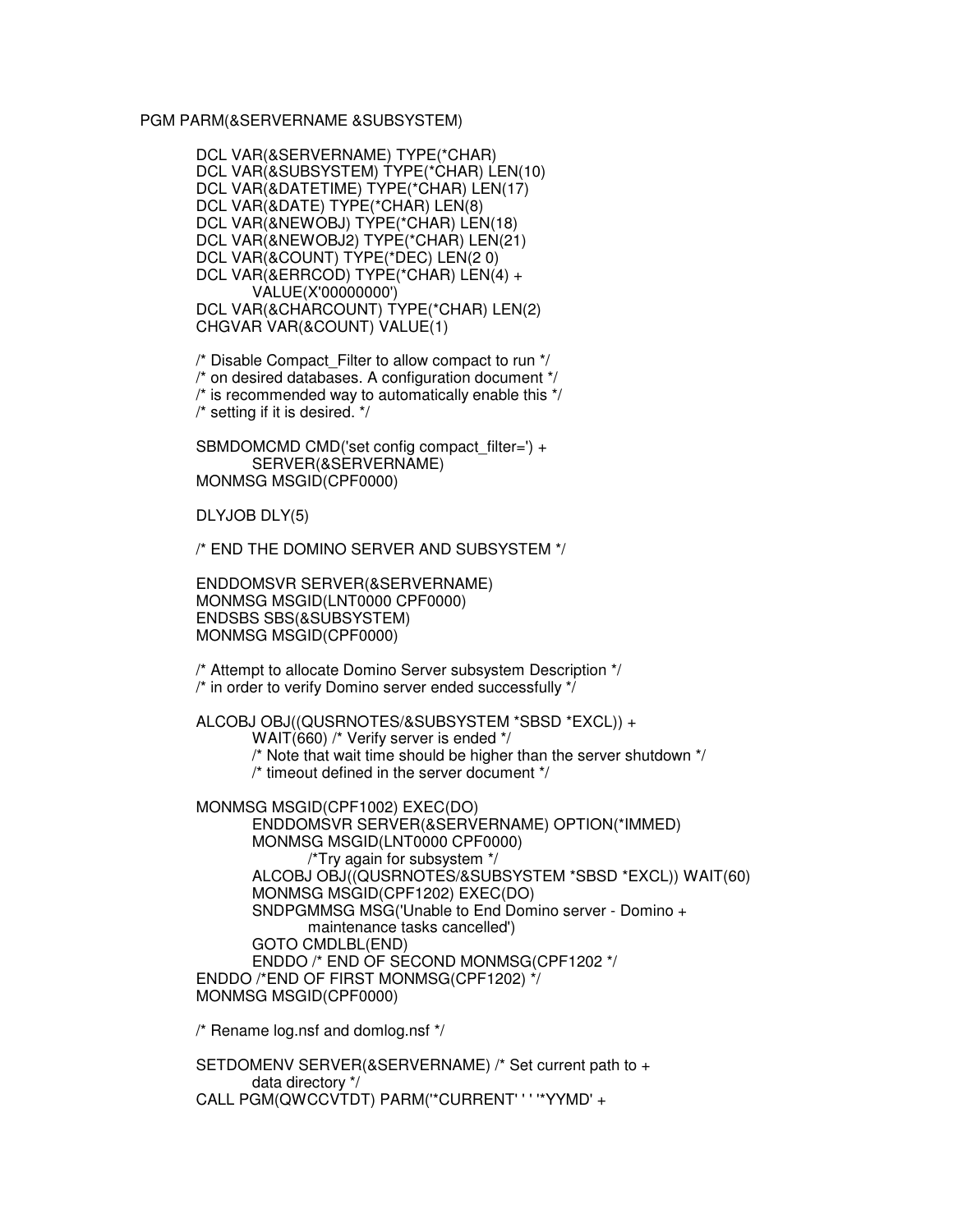## PGM PARM(&SERVERNAME &SUBSYSTEM)

DCL VAR(&SERVERNAME) TYPE(\*CHAR) DCL VAR(&SUBSYSTEM) TYPE(\*CHAR) LEN(10) DCL VAR(&DATETIME) TYPE(\*CHAR) LEN(17) DCL VAR(&DATE) TYPE(\*CHAR) LEN(8) DCL VAR(&NEWOBJ) TYPE(\*CHAR) LEN(18) DCL VAR(&NEWOBJ2) TYPE(\*CHAR) LEN(21) DCL VAR(&COUNT) TYPE(\*DEC) LEN(2 0) DCL VAR(&ERRCOD) TYPE(\*CHAR) LEN(4) + VALUE(X'00000000') DCL VAR(&CHARCOUNT) TYPE(\*CHAR) LEN(2) CHGVAR VAR(&COUNT) VALUE(1)

 $\prime$ \* Disable Compact Filter to allow compact to run  $\prime$ /

/\* on desired databases. A configuration document \*/

/\* is recommended way to automatically enable this \*/

/\* setting if it is desired. \*/

SBMDOMCMD CMD('set config compact filter=') + SERVER(&SERVERNAME) MONMSG MSGID(CPF0000)

DLYJOB DLY(5)

/\* END THE DOMINO SERVER AND SUBSYSTEM \*/

ENDDOMSVR SERVER(&SERVERNAME) MONMSG MSGID(LNT0000 CPF0000) ENDSBS SBS(&SUBSYSTEM) MONMSG MSGID(CPF0000)

/\* Attempt to allocate Domino Server subsystem Description \*/ /\* in order to verify Domino server ended successfully \*/

ALCOBJ OBJ((QUSRNOTES/&SUBSYSTEM \*SBSD \*EXCL)) +

WAIT(660) /\* Verify server is ended \*/

/\* Note that wait time should be higher than the server shutdown \*/

/\* timeout defined in the server document \*/

MONMSG MSGID(CPF1002) EXEC(DO)

ENDDOMSVR SERVER(&SERVERNAME) OPTION(\*IMMED) MONMSG MSGID(LNT0000 CPF0000) /\*Try again for subsystem \*/ ALCOBJ OBJ((QUSRNOTES/&SUBSYSTEM \*SBSD \*EXCL)) WAIT(60) MONMSG MSGID(CPF1202) EXEC(DO) SNDPGMMSG MSG('Unable to End Domino server - Domino + maintenance tasks cancelled') GOTO CMDLBL(END) ENDDO /\* END OF SECOND MONMSG(CPF1202 \*/ ENDDO /\*END OF FIRST MONMSG(CPF1202) \*/ MONMSG MSGID(CPF0000)

/\* Rename log.nsf and domlog.nsf \*/

SETDOMENV SERVER(&SERVERNAME) /\* Set current path to + data directory \*/ CALL PGM(QWCCVTDT) PARM('\*CURRENT' ' ' '\*YYMD' +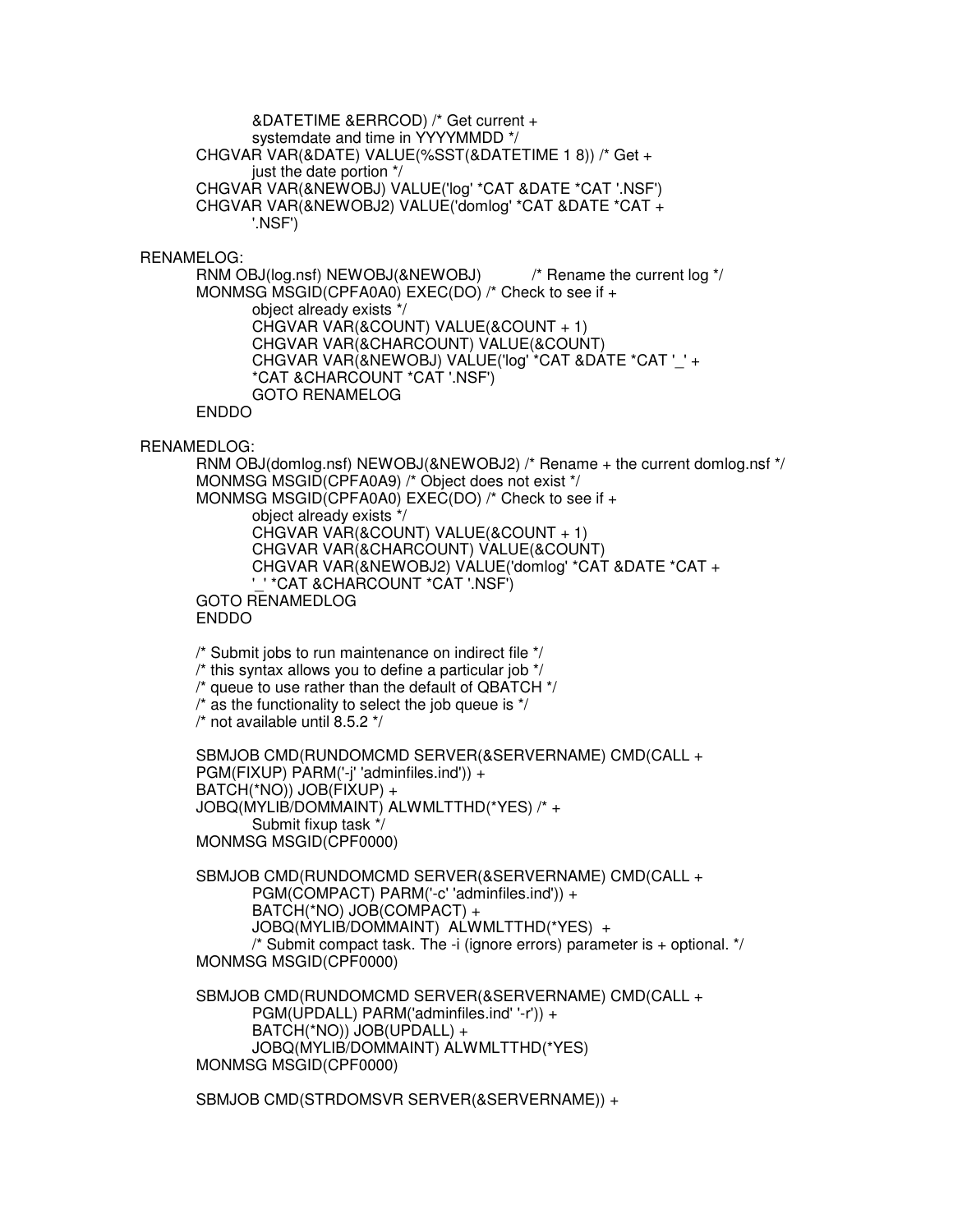&DATETIME &ERRCOD) /\* Get current + systemdate and time in YYYYMMDD \*/ CHGVAR VAR(&DATE) VALUE(%SST(&DATETIME 1 8)) /\* Get + just the date portion \*/ CHGVAR VAR(&NEWOBJ) VALUE('log' \*CAT &DATE \*CAT '.NSF') CHGVAR VAR(&NEWOBJ2) VALUE('domlog' \*CAT &DATE \*CAT + '.NSF')

RENAMELOG:

RNM OBJ(log.nsf) NEWOBJ(&NEWOBJ) /\* Rename the current log \*/ MONMSG MSGID(CPFA0A0) EXEC(DO) /\* Check to see if + object already exists \*/ CHGVAR VAR(&COUNT) VALUE(&COUNT + 1) CHGVAR VAR(&CHARCOUNT) VALUE(&COUNT) CHGVAR VAR(&NEWOBJ) VALUE('log' \*CAT &DATE \*CAT '\_' + \*CAT &CHARCOUNT \*CAT '.NSF') GOTO RENAMELOG ENDDO

RENAMEDLOG:

RNM OBJ(domlog.nsf) NEWOBJ(&NEWOBJ2) /\* Rename + the current domlog.nsf \*/ MONMSG MSGID(CPFA0A9) /\* Object does not exist \*/ MONMSG MSGID(CPFA0A0) EXEC(DO) /\* Check to see if + object already exists \*/ CHGVAR VAR(&COUNT) VALUE(&COUNT + 1) CHGVAR VAR(&CHARCOUNT) VALUE(&COUNT) CHGVAR VAR(&NEWOBJ2) VALUE('domlog' \*CAT &DATE \*CAT + '\_' \*CAT &CHARCOUNT \*CAT '.NSF') GOTO RENAMEDLOG ENDDO

/\* Submit jobs to run maintenance on indirect file \*/

 $\prime$ <sup>\*</sup> this syntax allows you to define a particular job  $\prime\prime$ 

/\* queue to use rather than the default of QBATCH \*/

 $\prime^*$  as the functionality to select the job queue is  $\prime\prime$ 

 $\prime$ \* not available until 8.5.2  $\prime\prime$ 

SBMJOB CMD(RUNDOMCMD SERVER(&SERVERNAME) CMD(CALL + PGM(FIXUP) PARM('-j' 'adminfiles.ind')) + BATCH(\*NO)) JOB(FIXUP) + JOBQ(MYLIB/DOMMAINT) ALWMLTTHD(\*YES) /\* + Submit fixup task \*/ MONMSG MSGID(CPF0000)

SBMJOB CMD(RUNDOMCMD SERVER(&SERVERNAME) CMD(CALL + PGM(COMPACT) PARM('-c' 'adminfiles.ind')) + BATCH(\*NO) JOB(COMPACT) + JOBQ(MYLIB/DOMMAINT) ALWMLTTHD(\*YES) + /\* Submit compact task. The -i (ignore errors) parameter is + optional. \*/ MONMSG MSGID(CPF0000)

SBMJOB CMD(RUNDOMCMD SERVER(&SERVERNAME) CMD(CALL + PGM(UPDALL) PARM('adminfiles.ind' '-r')) + BATCH(\*NO)) JOB(UPDALL) + JOBQ(MYLIB/DOMMAINT) ALWMLTTHD(\*YES) MONMSG MSGID(CPF0000)

SBMJOB CMD(STRDOMSVR SERVER(&SERVERNAME)) +